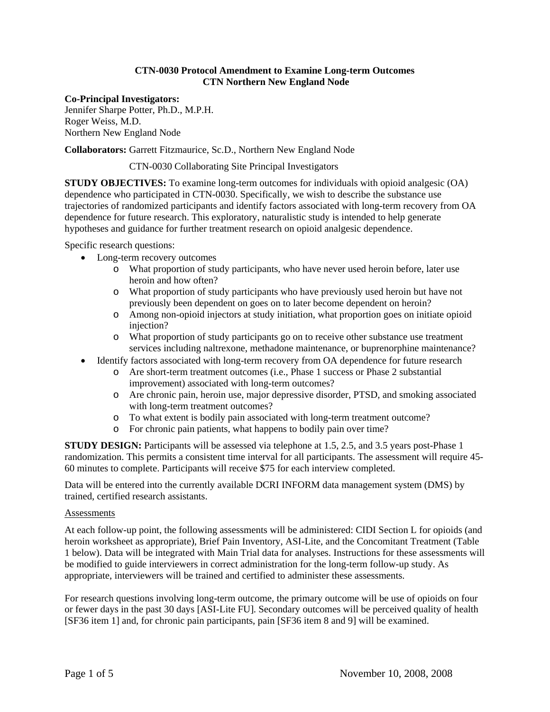# **CTN-0030 Protocol Amendment to Examine Long-term Outcomes CTN Northern New England Node**

# **Co-Principal Investigators:**

Jennifer Sharpe Potter, Ph.D., M.P.H. Roger Weiss, M.D. Northern New England Node

**Collaborators:** Garrett Fitzmaurice, Sc.D., Northern New England Node

CTN-0030 Collaborating Site Principal Investigators

**STUDY OBJECTIVES:** To examine long-term outcomes for individuals with opioid analgesic (OA) dependence who participated in CTN-0030. Specifically, we wish to describe the substance use trajectories of randomized participants and identify factors associated with long-term recovery from OA dependence for future research. This exploratory, naturalistic study is intended to help generate hypotheses and guidance for further treatment research on opioid analgesic dependence.

Specific research questions:

- Long-term recovery outcomes
	- o What proportion of study participants, who have never used heroin before, later use heroin and how often?
	- o What proportion of study participants who have previously used heroin but have not previously been dependent on goes on to later become dependent on heroin?
	- o Among non-opioid injectors at study initiation, what proportion goes on initiate opioid injection?
	- o What proportion of study participants go on to receive other substance use treatment services including naltrexone, methadone maintenance, or buprenorphine maintenance?
- Identify factors associated with long-term recovery from OA dependence for future research
	- o Are short-term treatment outcomes (i.e., Phase 1 success or Phase 2 substantial improvement) associated with long-term outcomes?
	- o Are chronic pain, heroin use, major depressive disorder, PTSD, and smoking associated with long-term treatment outcomes?
	- o To what extent is bodily pain associated with long-term treatment outcome?
	- o For chronic pain patients, what happens to bodily pain over time?

**STUDY DESIGN:** Participants will be assessed via telephone at 1.5, 2.5, and 3.5 years post-Phase 1 randomization. This permits a consistent time interval for all participants. The assessment will require 45- 60 minutes to complete. Participants will receive \$75 for each interview completed.

Data will be entered into the currently available DCRI INFORM data management system (DMS) by trained, certified research assistants.

#### **Assessments**

At each follow-up point, the following assessments will be administered: CIDI Section L for opioids (and heroin worksheet as appropriate), Brief Pain Inventory, ASI-Lite, and the Concomitant Treatment (Table 1 below). Data will be integrated with Main Trial data for analyses. Instructions for these assessments will be modified to guide interviewers in correct administration for the long-term follow-up study. As appropriate, interviewers will be trained and certified to administer these assessments.

For research questions involving long-term outcome, the primary outcome will be use of opioids on four or fewer days in the past 30 days [ASI-Lite FU]. Secondary outcomes will be perceived quality of health [SF36 item 1] and, for chronic pain participants, pain [SF36 item 8 and 9] will be examined.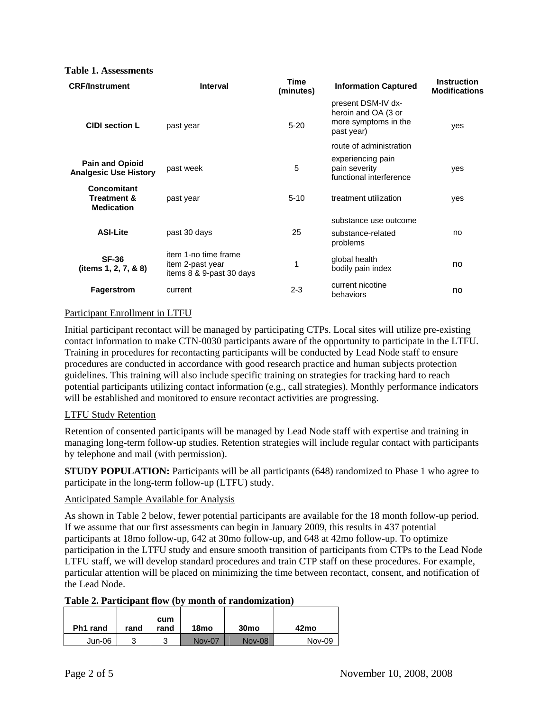#### **Table 1. Assessments**

| <b>CRF/Instrument</b>                                      | <b>Interval</b>                                                      | <b>Time</b><br>(minutes) | <b>Information Captured</b>                                                     | <b>Instruction</b><br><b>Modifications</b> |  |
|------------------------------------------------------------|----------------------------------------------------------------------|--------------------------|---------------------------------------------------------------------------------|--------------------------------------------|--|
| <b>CIDI section L</b>                                      | past year                                                            | $5 - 20$                 | present DSM-IV dx-<br>heroin and OA (3 or<br>more symptoms in the<br>past year) | yes                                        |  |
|                                                            |                                                                      |                          | route of administration                                                         |                                            |  |
| <b>Pain and Opioid</b><br><b>Analgesic Use History</b>     | past week                                                            | 5                        | experiencing pain<br>pain severity<br>functional interference                   | yes                                        |  |
| Concomitant<br><b>Treatment &amp;</b><br><b>Medication</b> | past year                                                            | $5 - 10$                 | treatment utilization                                                           | yes                                        |  |
|                                                            |                                                                      |                          | substance use outcome                                                           |                                            |  |
| <b>ASI-Lite</b>                                            | past 30 days                                                         | 25                       | substance-related<br>problems                                                   | no                                         |  |
| <b>SF-36</b><br>(items 1, 2, 7, & 8)                       | item 1-no time frame<br>item 2-past year<br>items 8 & 9-past 30 days | 1                        | global health<br>bodily pain index                                              | no                                         |  |
| <b>Fagerstrom</b>                                          | current                                                              | $2 - 3$                  | current nicotine<br>behaviors                                                   | no                                         |  |

#### Participant Enrollment in LTFU

Initial participant recontact will be managed by participating CTPs. Local sites will utilize pre-existing contact information to make CTN-0030 participants aware of the opportunity to participate in the LTFU. Training in procedures for recontacting participants will be conducted by Lead Node staff to ensure procedures are conducted in accordance with good research practice and human subjects protection guidelines. This training will also include specific training on strategies for tracking hard to reach potential participants utilizing contact information (e.g., call strategies). Monthly performance indicators will be established and monitored to ensure recontact activities are progressing.

# LTFU Study Retention

Retention of consented participants will be managed by Lead Node staff with expertise and training in managing long-term follow-up studies. Retention strategies will include regular contact with participants by telephone and mail (with permission).

**STUDY POPULATION:** Participants will be all participants (648) randomized to Phase 1 who agree to participate in the long-term follow-up (LTFU) study.

# Anticipated Sample Available for Analysis

As shown in Table 2 below, fewer potential participants are available for the 18 month follow-up period. If we assume that our first assessments can begin in January 2009, this results in 437 potential participants at 18mo follow-up, 642 at 30mo follow-up, and 648 at 42mo follow-up. To optimize participation in the LTFU study and ensure smooth transition of participants from CTPs to the Lead Node LTFU staff, we will develop standard procedures and train CTP staff on these procedures. For example, particular attention will be placed on minimizing the time between recontact, consent, and notification of the Lead Node.

#### **Table 2. Participant flow (by month of randomization)**

| Ph1 rand | rand | cum<br>rand | 18 <sub>mo</sub> | 30 <sub>mo</sub> | 42mo          |
|----------|------|-------------|------------------|------------------|---------------|
| Jun-06   | າ    | っ<br>ບ      | <b>Nov-07</b>    | <b>Nov-08</b>    | <b>Nov-09</b> |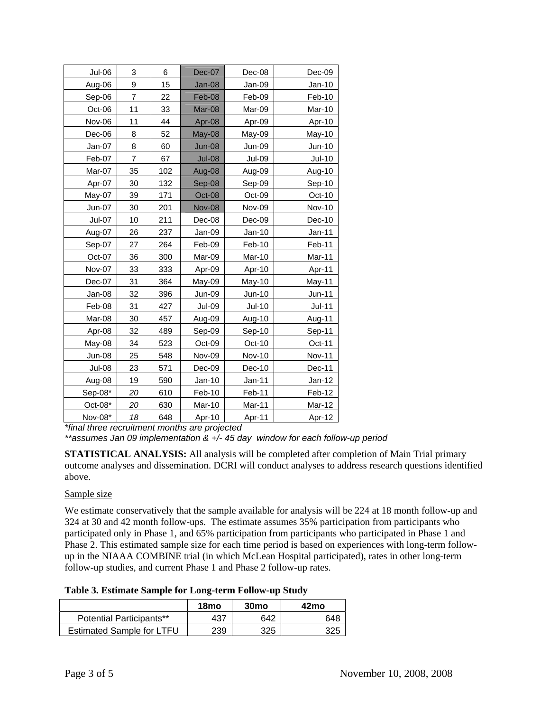| Jul-06        | 3              | 6   | Dec-07        | Dec-08        | Dec-09        |
|---------------|----------------|-----|---------------|---------------|---------------|
| Aug-06        | 9              | 15  | Jan-08        | Jan-09        | $Jan-10$      |
| Sep-06        | $\overline{7}$ | 22  | Feb-08        | Feb-09        | Feb-10        |
| Oct-06        | 11             | 33  | Mar-08        | Mar-09        | Mar-10        |
| Nov-06        | 11             | 44  | Apr-08        | Apr-09        | Apr-10        |
| Dec-06        | 8              | 52  | May-08        | May-09        | May-10        |
| Jan-07        | 8              | 60  | <b>Jun-08</b> | Jun-09        | <b>Jun-10</b> |
| Feb-07        | 7              | 67  | <b>Jul-08</b> | <b>Jul-09</b> | <b>Jul-10</b> |
| Mar-07        | 35             | 102 | Aug-08        | Aug-09        | Aug-10        |
| Apr-07        | 30             | 132 | Sep-08        | Sep-09        | Sep-10        |
| May-07        | 39             | 171 | Oct-08        | Oct-09        | Oct-10        |
| Jun-07        | 30             | 201 | <b>Nov-08</b> | Nov-09        | <b>Nov-10</b> |
| Jul-07        | 10             | 211 | Dec-08        | Dec-09        | Dec-10        |
| Aug-07        | 26             | 237 | Jan-09        | $Jan-10$      | $Jan-11$      |
| Sep-07        | 27             | 264 | Feb-09        | Feb-10        | Feb-11        |
| Oct-07        | 36             | 300 | Mar-09        | Mar-10        | Mar-11        |
| Nov-07        | 33             | 333 | Apr-09        | Apr-10        | Apr-11        |
| Dec-07        | 31             | 364 | May-09        | May-10        | May-11        |
| Jan-08        | 32             | 396 | Jun-09        | Jun-10        | Jun-11        |
| Feb-08        | 31             | 427 | Jul-09        | $Jul-10$      | $Jul-11$      |
| Mar-08        | 30             | 457 | Aug-09        | Aug-10        | Aug-11        |
| Apr-08        | 32             | 489 | Sep-09        | Sep-10        | Sep-11        |
| May-08        | 34             | 523 | Oct-09        | Oct-10        | Oct-11        |
| Jun-08        | 25             | 548 | Nov-09        | <b>Nov-10</b> | <b>Nov-11</b> |
| <b>Jul-08</b> | 23             | 571 | Dec-09        | Dec-10        | Dec-11        |
| Aug-08        | 19             | 590 | $Jan-10$      | Jan-11        | Jan-12        |
| Sep-08*       | 20             | 610 | Feb-10        | Feb-11        | Feb-12        |
| $Oct-08*$     | 20             | 630 | Mar-10        | Mar-11        | Mar-12        |
| Nov-08*       | 18             | 648 | Apr-10        | Apr-11        | Apr-12        |

*\*final three recruitment months are projected* 

*\*\*assumes Jan 09 implementation & +/- 45 day window for each follow-up period*

**STATISTICAL ANALYSIS:** All analysis will be completed after completion of Main Trial primary outcome analyses and dissemination. DCRI will conduct analyses to address research questions identified above.

# Sample size

We estimate conservatively that the sample available for analysis will be 224 at 18 month follow-up and 324 at 30 and 42 month follow-ups. The estimate assumes 35% participation from participants who participated only in Phase 1, and 65% participation from participants who participated in Phase 1 and Phase 2. This estimated sample size for each time period is based on experiences with long-term followup in the NIAAA COMBINE trial (in which McLean Hospital participated), rates in other long-term follow-up studies, and current Phase 1 and Phase 2 follow-up rates.

**Table 3. Estimate Sample for Long-term Follow-up Study** 

|                                  | 18mo | 30 <sub>mo</sub> | 42mo |
|----------------------------------|------|------------------|------|
| <b>Potential Participants**</b>  | 437  | 642              | 648  |
| <b>Estimated Sample for LTFU</b> | 239  | 325              | 325  |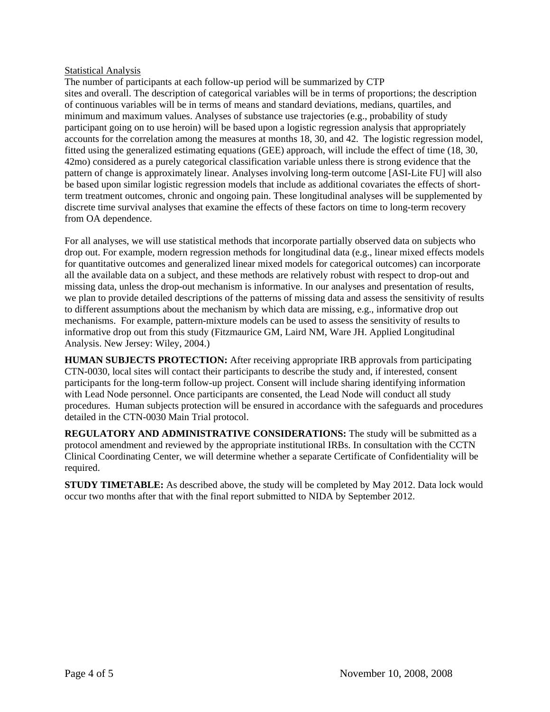# **Statistical Analysis**

The number of participants at each follow-up period will be summarized by CTP sites and overall. The description of categorical variables will be in terms of proportions; the description of continuous variables will be in terms of means and standard deviations, medians, quartiles, and minimum and maximum values. Analyses of substance use trajectories (e.g., probability of study participant going on to use heroin) will be based upon a logistic regression analysis that appropriately accounts for the correlation among the measures at months 18, 30, and 42. The logistic regression model, fitted using the generalized estimating equations (GEE) approach, will include the effect of time (18, 30, 42mo) considered as a purely categorical classification variable unless there is strong evidence that the pattern of change is approximately linear. Analyses involving long-term outcome [ASI-Lite FU] will also be based upon similar logistic regression models that include as additional covariates the effects of shortterm treatment outcomes, chronic and ongoing pain. These longitudinal analyses will be supplemented by discrete time survival analyses that examine the effects of these factors on time to long-term recovery from OA dependence.

For all analyses, we will use statistical methods that incorporate partially observed data on subjects who drop out. For example, modern regression methods for longitudinal data (e.g., linear mixed effects models for quantitative outcomes and generalized linear mixed models for categorical outcomes) can incorporate all the available data on a subject, and these methods are relatively robust with respect to drop-out and missing data, unless the drop-out mechanism is informative. In our analyses and presentation of results, we plan to provide detailed descriptions of the patterns of missing data and assess the sensitivity of results to different assumptions about the mechanism by which data are missing, e.g., informative drop out mechanisms. For example, pattern-mixture models can be used to assess the sensitivity of results to informative drop out from this study (Fitzmaurice GM, Laird NM, Ware JH. Applied Longitudinal Analysis. New Jersey: Wiley, 2004.)

**HUMAN SUBJECTS PROTECTION:** After receiving appropriate IRB approvals from participating CTN-0030, local sites will contact their participants to describe the study and, if interested, consent participants for the long-term follow-up project. Consent will include sharing identifying information with Lead Node personnel. Once participants are consented, the Lead Node will conduct all study procedures. Human subjects protection will be ensured in accordance with the safeguards and procedures detailed in the CTN-0030 Main Trial protocol.

**REGULATORY AND ADMINISTRATIVE CONSIDERATIONS:** The study will be submitted as a protocol amendment and reviewed by the appropriate institutional IRBs. In consultation with the CCTN Clinical Coordinating Center, we will determine whether a separate Certificate of Confidentiality will be required.

**STUDY TIMETABLE:** As described above, the study will be completed by May 2012. Data lock would occur two months after that with the final report submitted to NIDA by September 2012.